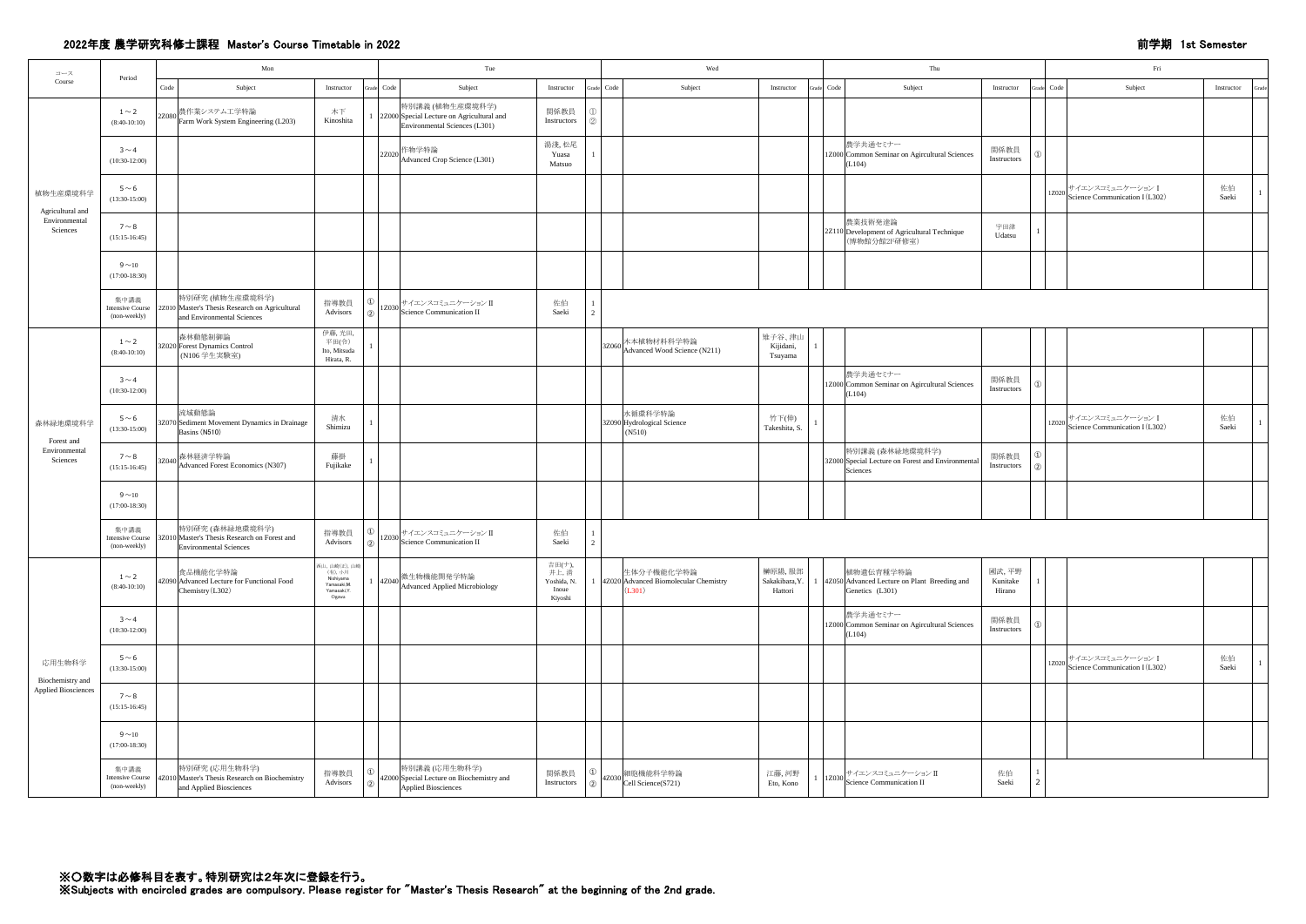## 2022年度 農学研究科修士課程 Master's Course Timetable in 2022 前学期 1st Semester

| コース                          |                                                 | Mon<br>Period |                                                                                                                   | Tue                                                                          |                 |                                                                                               |                                                   | Wed  | Thu                                                                                                  |                                                                                                             | $\operatorname{Fri}$ |          |                                                                  |             |       |
|------------------------------|-------------------------------------------------|---------------|-------------------------------------------------------------------------------------------------------------------|------------------------------------------------------------------------------|-----------------|-----------------------------------------------------------------------------------------------|---------------------------------------------------|------|------------------------------------------------------------------------------------------------------|-------------------------------------------------------------------------------------------------------------|----------------------|----------|------------------------------------------------------------------|-------------|-------|
| Course                       |                                                 | Code          | Subject                                                                                                           | Instructor                                                                   | Grade Code      | Subject                                                                                       | Instructor<br>Grade                               | Code | Subject<br>Instructor                                                                                | Grade Code<br>Subject<br>Instructor                                                                         |                      |          | Grade Code<br>Subject                                            | Instructor  | Grade |
|                              | $1\sim$ 2<br>$(8:40-10:10)$                     | 2Z080         | 農作業システム工学特論<br>Farm Work System Engineering (L203)                                                                | 木下<br>Kinoshita                                                              |                 | 特別講義 (植物生産環境科学)<br>2Z000 Special Lecture on Agricultural and<br>Environmental Sciences (L301) | 関係教員<br>Instructors                               |      |                                                                                                      |                                                                                                             |                      |          |                                                                  |             |       |
|                              | $3 \sim 4$<br>$(10:30-12:00)$                   |               |                                                                                                                   |                                                                              | 2Z020           | 作物学特論<br>Advanced Crop Science (L301)                                                         | 湯淺,松尾<br>Yuasa<br>Matsuo                          |      |                                                                                                      | 農学共通セミナー<br>関係教員<br>1Z000 Common Seminar on Agircultural Sciences<br>Instructors<br>(L104)                  |                      |          |                                                                  |             |       |
| 植物生産環境科学<br>Agricultural and | $5 \sim 6$<br>$(13:30-15:00)$                   |               |                                                                                                                   |                                                                              |                 |                                                                                               |                                                   |      |                                                                                                      |                                                                                                             |                      |          | <br> 1Z020   サイエンスコミュニケーション I<br> Science Communication I (L302) | 佐伯<br>Saeki |       |
| Environmental<br>Sciences    | $7 \sim 8$<br>$(15:15-16:45)$                   |               |                                                                                                                   |                                                                              |                 |                                                                                               |                                                   |      |                                                                                                      | 農業技術発達論<br>宇田津<br>2Z110 Development of Agricultural Technique<br>(博物館分館2F研修室)<br>Udatsu                     |                      |          |                                                                  |             |       |
|                              | $9\sim10$<br>$(17:00-18:30)$                    |               |                                                                                                                   |                                                                              |                 |                                                                                               |                                                   |      |                                                                                                      |                                                                                                             |                      |          |                                                                  |             |       |
|                              | 集中講義<br><b>Intensive Course</b><br>(non-weekly) |               | 特別研究 (植物生産環境科学)<br>2Z010 Master's Thesis Research on Agricultural<br>and Environmental Sciences                   | 指導教員<br>Advisors<br>(2)                                                      |                 | 1Z030 サイエンスコミュニケーション II<br>  1Z030 Science Communication II                                   | 佐伯<br>Saeki                                       |      |                                                                                                      |                                                                                                             |                      |          |                                                                  |             |       |
|                              | $1\sim2$<br>$(8:40-10:10)$                      |               | 森林動態制御論<br>3Z020 Forest Dynamics Control<br>(N106 学生実験室)                                                          | 伊藤,光田,<br>平田(令)<br>Ito, Mitsuda<br>Hirata, R.                                |                 |                                                                                               |                                                   |      | 雉子谷、津山<br>3Z060 木本植物材料科学特論<br>Advanced Wood Science (N211)<br>Kijidani,<br>Tsuyama                   |                                                                                                             |                      |          |                                                                  |             |       |
| 森林緑地環境科学<br>Forest and       | $3 \sim 4$<br>$(10:30-12:00)$                   |               |                                                                                                                   |                                                                              |                 |                                                                                               |                                                   |      |                                                                                                      | 農学共通セミナー<br>関係教員<br>1Z000 Common Seminar on Agircultural Sciences<br>Instructors<br>(L104)                  |                      | $\Omega$ |                                                                  |             |       |
|                              | $5 \sim 6$<br>$(13:30-15:00)$                   |               | 流域動態論<br>3Z070 Sediment Movement Dynamics in Drainage<br>Basins (N510)                                            | 清水<br>Shimizu                                                                |                 |                                                                                               |                                                   |      | 水循環科学特論<br>竹下(伸)<br>3Z090 Hydrological Science<br>Takeshita, S.<br>$($ N510)                         |                                                                                                             |                      |          | 1Z020 サイエンスコミュニケーション I<br>Science Communication I (L302)         | 佐伯<br>Saeki |       |
| Environmental<br>Sciences    | $7 \sim 8$<br>$(15:15-16:45)$                   |               | 3Z040 森林経済学特論<br>Advanced Forest Economics (N307)                                                                 | 藤掛<br>Fujikake                                                               |                 |                                                                                               |                                                   |      |                                                                                                      | 特別講義 (森林緑地環境科学)<br>関係教員<br>3Z000 Special Lecture on Forest and Environmental<br>Instructors<br>Sciences     |                      |          |                                                                  |             |       |
|                              | $9\sim10$<br>$(17:00-18:30)$                    |               |                                                                                                                   |                                                                              |                 |                                                                                               |                                                   |      |                                                                                                      |                                                                                                             |                      |          |                                                                  |             |       |
|                              | 集中講義<br>(non-weekly)                            |               | 特別研究 (森林緑地環境科学)<br>Intensive Course 3Z010 Master's Thesis Research on Forest and<br><b>Environmental Sciences</b> | 指導教員<br>Advisors                                                             |                 | 、サイエンスコミュニケーションⅡ<br>$\frac{12030}{\text{Science Communication II}}$                           | 佐伯<br>Saeki                                       |      |                                                                                                      |                                                                                                             |                      |          |                                                                  |             |       |
|                              | $1\sim2$<br>$(8:40-10:10)$                      |               | 食品機能化学特論<br>4Z090 Advanced Lecture for Functional Food<br>Chemistry (L302)                                        | 西山,山崎(正),山崎<br>(有), 小川<br>Nishiyama<br>Yamasaki, M.<br>Yamasaki, Y.<br>Ogawa | $1 \quad 4Z040$ | 做生物機能開発学特論<br>Advanced Applied Microbiology                                                   | 吉田(ナ),<br>井上,清<br>Yoshida, N.<br>Inoue<br>Kiyoshi |      | 榊原陽,服部<br>生体分子機能化学特論<br>4Z020 Advanced Biomolecular Chemistry<br>Sakakibara, Y.<br>(L301)<br>Hattori | 植物遺伝育種学特論<br>國武,平野<br>4Z050 Advanced Lecture on Plant Breeding and<br>Kunitake<br>Genetics (L301)<br>Hirano |                      |          |                                                                  |             |       |
|                              | $3 \sim 4$<br>$(10:30-12:00)$                   |               |                                                                                                                   |                                                                              |                 |                                                                                               |                                                   |      |                                                                                                      | 農学共通セミナー<br>関係教員<br>1Z000 Common Seminar on Agircultural Sciences<br>Instructors<br>(L104)                  |                      |          |                                                                  |             |       |
| 応用生物科学<br>Biochemistry and   | $5 \sim 6$<br>$(13:30-15:00)$                   |               |                                                                                                                   |                                                                              |                 |                                                                                               |                                                   |      |                                                                                                      |                                                                                                             |                      |          | │サイエンスコミュニケーション I<br>1Z020<br>Science Communication I (L302)     | 佐伯<br>Saeki |       |
| <b>Applied Biosciences</b>   | $7 \sim 8$<br>$(15:15-16:45)$                   |               |                                                                                                                   |                                                                              |                 |                                                                                               |                                                   |      |                                                                                                      |                                                                                                             |                      |          |                                                                  |             |       |
|                              | $9\sim10$<br>$(17:00-18:30)$                    |               |                                                                                                                   |                                                                              |                 |                                                                                               |                                                   |      |                                                                                                      |                                                                                                             |                      |          |                                                                  |             |       |
|                              | 集中講義<br>(non-weekly)                            |               | 特別研究 (応用生物科学)<br>Intensive Course 4Z010 Master's Thesis Research on Biochemistry<br>and Applied Biosciences       | 指導教員<br>Advisors                                                             |                 | 特別講義 (応用生物科学)<br>4Z000 Special Lecture on Biochemistry and<br>Applied Biosciences             | $\circled{1}$<br>関係教員<br>Instructors<br>(2)       |      | 細胞機能科学特論<br>江藤, 河野<br>$\left  \frac{4Z030}{\text{Cell Science}} \right $<br>Eto, Kono                | 佐伯<br> 1Z030 サイエンスコミュニケーション II<br> 1Z030 Science Communication II<br>Saeki                                  |                      |          |                                                                  |             |       |

※Subjects with encircled grades are compulsory. Please register for "Master's Thesis Research" at the beginning of the 2nd grade.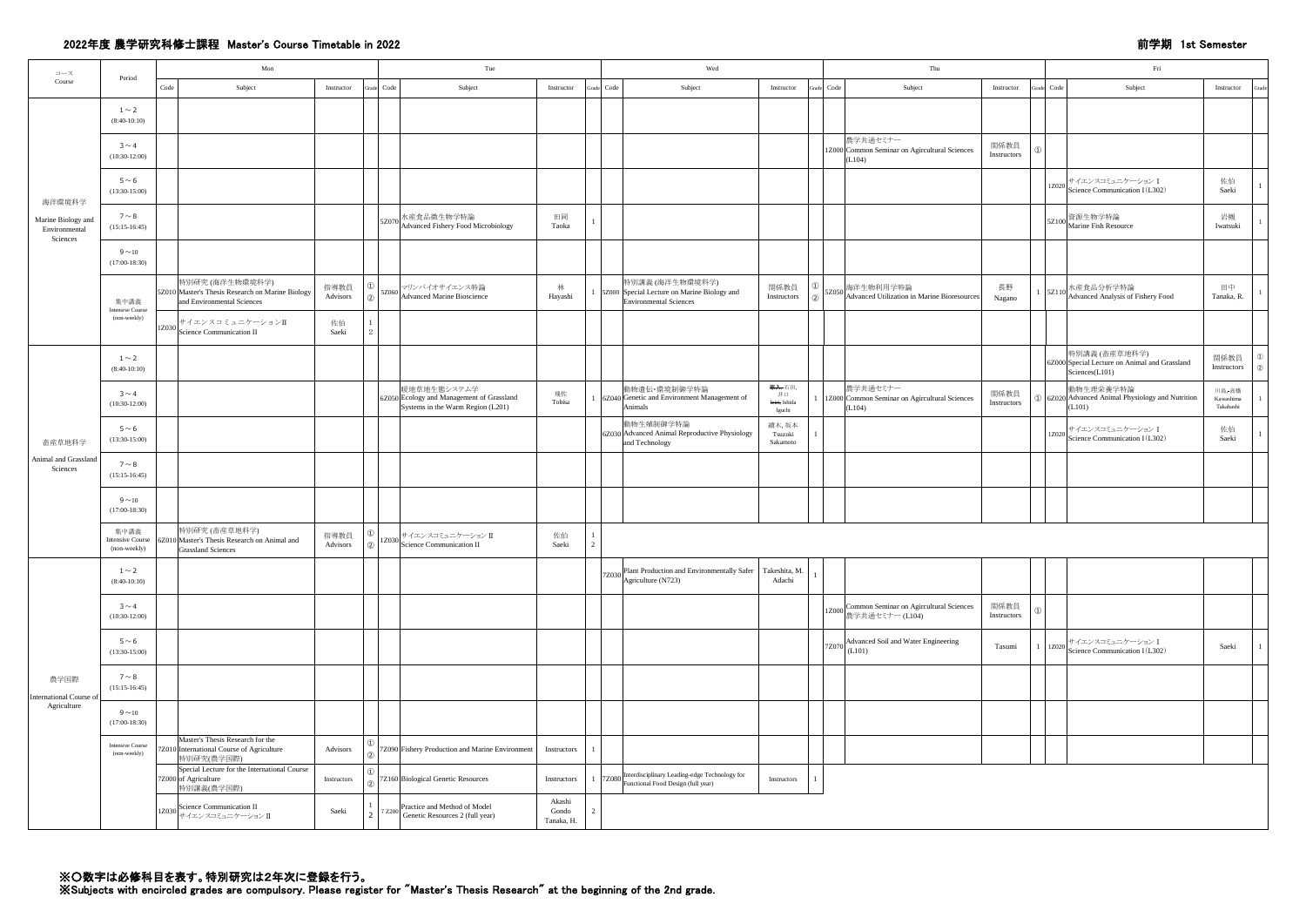## 2022年度 農学研究科修士課程 Master's Course Timetable in 2022 前学期 1st Semester

| コース                                             | Period                                          |       | Mon                                                                                                                                         |                                | Tue        |                                                                                               |                       | Wed        | Thu<br>Fri                                                                                |                                                     |  |                                                                            |                     |                                                                                  |                                         |
|-------------------------------------------------|-------------------------------------------------|-------|---------------------------------------------------------------------------------------------------------------------------------------------|--------------------------------|------------|-----------------------------------------------------------------------------------------------|-----------------------|------------|-------------------------------------------------------------------------------------------|-----------------------------------------------------|--|----------------------------------------------------------------------------|---------------------|----------------------------------------------------------------------------------|-----------------------------------------|
| Course                                          |                                                 | Code  | Subject                                                                                                                                     | Instructor                     | Grade Code | Subject                                                                                       | Instructor            | Grade Code | Subject                                                                                   | Instructor                                          |  | Grade Code<br>Subject                                                      | Instructor          | Grade Code<br>Subject                                                            | Instructor<br>Grade                     |
|                                                 | $1\sim$ 2<br>$(8:40-10:10)$                     |       |                                                                                                                                             |                                |            |                                                                                               |                       |            |                                                                                           |                                                     |  |                                                                            |                     |                                                                                  |                                         |
|                                                 | $3 \sim 4$<br>$(10:30-12:00)$                   |       |                                                                                                                                             |                                |            |                                                                                               |                       |            |                                                                                           |                                                     |  | 農学共通セミナー<br>1Z000 Common Seminar on Agircultural Sciences<br>(L104)        | 関係教員<br>Instructors |                                                                                  |                                         |
| 海洋環境科学                                          | $5\,{\sim}\,6$<br>$(13:30-15:00)$               |       |                                                                                                                                             |                                |            |                                                                                               |                       |            |                                                                                           |                                                     |  |                                                                            |                     | │サイエンスコミュニケーション I<br>$1Z020$<br>Science Communication I (L302)                   | 佐伯<br>Saeki                             |
| Marine Biology and<br>Environmental<br>Sciences | $7 \sim 8$<br>$(15:15-16:45)$                   |       |                                                                                                                                             |                                | 5Z070      | 水産食品微生物学特論<br>Advanced Fishery Food Microbiology                                              | 田岡<br>Taoka           |            |                                                                                           |                                                     |  |                                                                            |                     | 5Z100 資源生物学特論<br>Marine Fish Resource                                            | 岩槻<br>Iwatsuki                          |
|                                                 | $9 \sim 10$<br>$(17:00-18:30)$                  |       |                                                                                                                                             |                                |            |                                                                                               |                       |            |                                                                                           |                                                     |  |                                                                            |                     |                                                                                  |                                         |
|                                                 | 集中講義<br><b>Intensive Course</b>                 |       | 特別研究 (海洋生物環境科学)<br>5Z010 Master's Thesis Research on Marine Biology<br>and Environmental Sciences                                           | 指導教員<br>Advisors<br>(2)        | 5Z060      | マリンバイオサイエンス特論<br>Advanced Marine Bioscience                                                   | 林<br>Hayashi          |            | 特別講義 (海洋生物環境科学)<br>5Z000 Special Lecture on Marine Biology and<br>Environmental Sciences  | 関係教員<br>Instructors                                 |  | ) SZ050 海洋生物利用学特論<br>Advanced Utilization in Marine Bioresources           | 長野<br>Nagano        | 1 5Z110 水産食品分析学特論<br>1 5Z110 Advanced Analysis of Fishery Food                   | 田中<br>Tanaka, R.                        |
|                                                 | (non-weekly)                                    | 1Z030 | サイエンスコミュニケーションII<br>Science Communication II                                                                                                | 佐伯<br>Saeki<br>$\mathcal{D}$   |            |                                                                                               |                       |            |                                                                                           |                                                     |  |                                                                            |                     |                                                                                  |                                         |
|                                                 | $1\sim$ 2<br>$(8:40-10:10)$                     |       |                                                                                                                                             |                                |            |                                                                                               |                       |            |                                                                                           |                                                     |  |                                                                            |                     | 特別講義 (畜産草地科学)<br>6Z000 Special Lecture on Animal and Grassland<br>Sciences(L101) | 関係教員<br>$\Omega$<br>Instructors<br>- (2 |
|                                                 | $3 \sim 4$<br>$(10:30-12:00)$                   |       |                                                                                                                                             |                                |            | 暖地草地生態システム学<br>6Z050 Ecology and Management of Grassland<br>Systems in the Warm Region (L201) | 飛佐<br>Tobisa          |            | 動物遺伝·環境制御学特論<br>6Z040 Genetic and Environment Management of<br>Animals                    | <del>家入,</del> 石田,<br>井口<br>leiri, Ishida<br>Iguchi |  | 農学共通セミナー<br>1Z000 Common Seminar on Agircultural Sciences<br>(L104)        | 関係教員<br>Instructors | 動物生理栄養学特論<br>① 6Z020 Advanced Animal Physiology and Nutrition<br>(L101)          | 川島,-高橋<br>Kawashima<br>Takahashi        |
| 畜産草地科学                                          | $5\,{\sim}\,6$<br>$(13:30-15:00)$               |       |                                                                                                                                             |                                |            |                                                                                               |                       |            | 動物生殖制御学特論<br>6Z030 Advanced Animal Reproductive Physiology<br>and Technology              | 續木,坂本<br>Tsuzuki<br>Sakamoto                        |  |                                                                            |                     | 1Z020 サイエンスコミュニケーション I<br>Science Communication I (L302)                         | 佐伯<br>Saeki                             |
| Animal and Grassland<br>Sciences                | $7 \sim 8$<br>$(15:15-16:45)$                   |       |                                                                                                                                             |                                |            |                                                                                               |                       |            |                                                                                           |                                                     |  |                                                                            |                     |                                                                                  |                                         |
|                                                 | $9 \sim 10$<br>$(17:00-18:30)$                  |       |                                                                                                                                             |                                |            |                                                                                               |                       |            |                                                                                           |                                                     |  |                                                                            |                     |                                                                                  |                                         |
|                                                 | 集中講義<br><b>Intensive Course</b><br>(non-weekly) |       | 特別研究 (畜産草地科学)<br>6Z010 Master's Thesis Research on Animal and<br><b>Grassland Sciences</b>                                                  | (1)<br>指導教員<br>Advisors<br>(2) | 1Z030      | ) サイエンスコミュニケーション Ⅱ<br>Science Communication Ⅱ                                                 | 佐伯<br>Saeki           |            |                                                                                           |                                                     |  |                                                                            |                     |                                                                                  |                                         |
|                                                 | $1 \sim 2$<br>$(8:40-10:10)$                    |       |                                                                                                                                             |                                |            |                                                                                               |                       |            | 7Z030 Plant Production and Environmentally Safer<br>$\sqrt{\text{Agriculture (N723)}}$    | Takeshita, M.<br>Adachi                             |  |                                                                            |                     |                                                                                  |                                         |
|                                                 | $3 \sim 4$<br>$(10:30-12:00)$                   |       |                                                                                                                                             |                                |            |                                                                                               |                       |            |                                                                                           |                                                     |  | 1Z000 Common Seminar on Agircultural Sciences<br>  1Z000   農学共通セミナー (L104) | 関係教員<br>Instructors |                                                                                  |                                         |
|                                                 | $5 \sim 6$<br>$(13:30-15:00)$                   |       |                                                                                                                                             |                                |            |                                                                                               |                       |            |                                                                                           |                                                     |  | 7Z070 Advanced Soil and Water Engineering<br>(L101)                        | Tasumi              | 1   1Z020   サイエンスコミュニケーション I<br>Science Communication I (L302)                   | Saeki                                   |
| 農学国際<br>International Course of                 | $7 \sim 8$<br>$(15:15-16:45)$                   |       |                                                                                                                                             |                                |            |                                                                                               |                       |            |                                                                                           |                                                     |  |                                                                            |                     |                                                                                  |                                         |
| Agriculture                                     | $9\sim10$<br>$(17:00-18:30)$                    |       |                                                                                                                                             |                                |            |                                                                                               |                       |            |                                                                                           |                                                     |  |                                                                            |                     |                                                                                  |                                         |
|                                                 | <b>Intensive Course</b><br>(non-weekly)         |       | Master's Thesis Research for the<br>7Z010 International Course of Agriculture<br>特別研究(農学国際)<br>Special Lecture for the International Course | Advisors<br>$\circled{2}$      |            | 7Z090 Fishery Production and Marine Environment                                               | Instructors           |            |                                                                                           |                                                     |  |                                                                            |                     |                                                                                  |                                         |
|                                                 |                                                 |       | 7Z000 of Agriculture<br>特別講義(農学国際)<br>Science Communication II                                                                              | Instructors<br>- (2            |            | 7Z160 Biological Genetic Resources<br>Practice and Method of Model                            | Instructors<br>Akashi |            | 7Z080 Interdisciplinary Leading-edge Technology for<br>Functional Food Design (full year) | Instructors                                         |  |                                                                            |                     |                                                                                  |                                         |
|                                                 |                                                 | 1Z030 | サイエンスコミュニケーションⅡ                                                                                                                             | Saeki<br>$\overline{2}$        | 7 Z200     | Genetic Resources 2 (full year)                                                               | Gondo<br>Tanaka, H.   |            |                                                                                           |                                                     |  |                                                                            |                     |                                                                                  |                                         |

※○数字は必修科目を表す。特別研究は2年次に登録を行う。

※Subjects with encircled grades are compulsory. Please register for "Master's Thesis Research" at the beginning of the 2nd grade.

|      |                                         |                                | Thu        |                                                                     |                     |                           |       | Fri                                                                              |                                  |                                                 |  |  |  |  |  |  |
|------|-----------------------------------------|--------------------------------|------------|---------------------------------------------------------------------|---------------------|---------------------------|-------|----------------------------------------------------------------------------------|----------------------------------|-------------------------------------------------|--|--|--|--|--|--|
|      | Instructor                              | Grade                          | $\rm Code$ | Subject                                                             | Instructor          | Grade                     | Code  | Subject                                                                          | Instructor                       | Grade                                           |  |  |  |  |  |  |
|      |                                         |                                |            |                                                                     |                     |                           |       |                                                                                  |                                  |                                                 |  |  |  |  |  |  |
|      |                                         |                                |            | 農学共通セミナー<br>1Z000 Common Seminar on Agircultural Sciences<br>(L104) | 関係教員<br>Instructors | $\circled{1}$             |       |                                                                                  |                                  |                                                 |  |  |  |  |  |  |
|      |                                         |                                |            |                                                                     |                     |                           | 1Z020 | サイエンスコミュニケーション I<br>Science Communication I (L302)                               | 佐伯<br>Saeki                      | $\mathbf{1}$                                    |  |  |  |  |  |  |
|      |                                         |                                |            |                                                                     |                     |                           | 5Z100 | 資源生物学特論<br>Marine Fish Resource                                                  | 岩槻<br>Iwatsuki                   | $\mathbf{1}$                                    |  |  |  |  |  |  |
|      |                                         |                                |            |                                                                     |                     |                           |       |                                                                                  |                                  |                                                 |  |  |  |  |  |  |
|      | 関係教員<br>Instructors                     | $\circled{1}$<br>$\circled{2}$ |            | 5Z050 海洋生物利用学特論<br>Advanced Utilization in Marine Bioresources      | 長野<br>Nagano        | $\mathbf{1}$              | 5Z110 | 水産食品分析学特論<br>Advanced Analysis of Fishery Food                                   | 田中<br>Tanaka, R.                 | $\mathbf{1}$                                    |  |  |  |  |  |  |
|      |                                         |                                |            |                                                                     |                     |                           |       |                                                                                  |                                  |                                                 |  |  |  |  |  |  |
|      |                                         |                                |            |                                                                     |                     |                           |       | 特別講義 (畜産草地科学)<br>6Z000 Special Lecture on Animal and Grassland<br>Sciences(L101) | 関係教員<br>Instructors              | $\textcircled{\scriptsize{1}}$<br>$\circled{2}$ |  |  |  |  |  |  |
| of   | 家人,石田,<br>井口<br>Ieiri, Ishida<br>Iguchi | -1                             |            | 農学共通セミナー<br>1Z000 Common Seminar on Agircultural Sciences<br>(L104) | 関係教員<br>Instructors | $\textcircled{\small{1}}$ |       | 動物生理栄養学特論<br>6Z020 Advanced Animal Physiology and Nutrition<br>(L101)            | 川島,-高橋<br>Kawashima<br>Takahashi | $\mathbf{1}$                                    |  |  |  |  |  |  |
| logy | 續木,坂本<br>Tsuzuki<br>Sakamoto            | $\mathbf{1}$                   |            |                                                                     |                     |                           |       | 1Z020 サイエンスコミュニケーション I<br>Science Communication I (L302)                         | 佐伯<br>Saeki                      | $\mathbf{1}$                                    |  |  |  |  |  |  |
|      |                                         |                                |            |                                                                     |                     |                           |       |                                                                                  |                                  |                                                 |  |  |  |  |  |  |
|      |                                         |                                |            |                                                                     |                     |                           |       |                                                                                  |                                  |                                                 |  |  |  |  |  |  |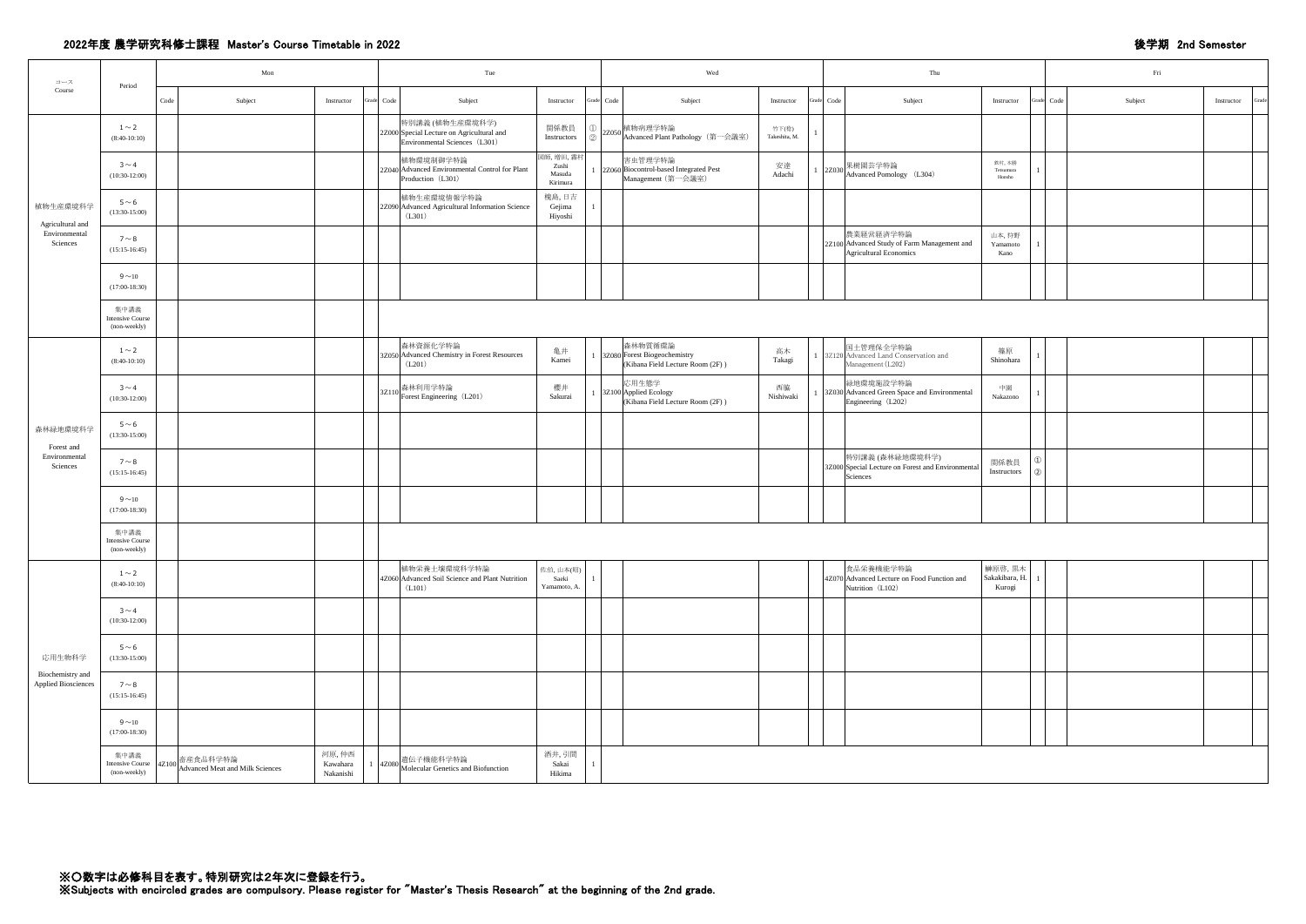## 2022年度 農学研究科修士課程 Master's Course Timetable in 2022 **Washington States and Semester** 後学期 2nd Semester

| コース                                            | Period                                          |      | Mon                                                                                                                                                                | Tue                                                                                           |                                                    |            | Wed                                                                                            | Thu |                                                                                    |                                     |               | Fri        |                       |      |
|------------------------------------------------|-------------------------------------------------|------|--------------------------------------------------------------------------------------------------------------------------------------------------------------------|-----------------------------------------------------------------------------------------------|----------------------------------------------------|------------|------------------------------------------------------------------------------------------------|-----|------------------------------------------------------------------------------------|-------------------------------------|---------------|------------|-----------------------|------|
| Course                                         |                                                 | Code | Subject<br>Instructor                                                                                                                                              | Subject<br>Grade Code                                                                         | Instructor                                         | Grade Code | Subject<br>Instructor                                                                          |     | Subject<br>Grade Code                                                              | Instructor                          |               | Grade Code | Subject<br>Instructor | Grad |
|                                                | $1\sim2$<br>$(8:40-10:10)$                      |      |                                                                                                                                                                    | 特別講義 (植物生産環境科学)<br>2Z000 Special Lecture on Agricultural and<br>Environmental Sciences (L301) | 関係教員<br>$\bigcirc$<br>Instructors<br>$\circled{2}$ |            | 2Z050 植物病理学特論<br>2Z050 Advanced Plant Pathology (第一会議室)<br>竹下(稔)<br>Takeshita, M.              |     |                                                                                    |                                     |               |            |                       |      |
|                                                | $3 \sim 4$<br>$(10:30-12:00)$                   |      |                                                                                                                                                                    | 植物環境制御学特論<br>2Z040 Advanced Environmental Control for Plant<br>Production (L301)              | 図師, 増田, 霧村<br>Zushi<br>Masuda<br>Kirimura          |            | 害虫管理学特論<br>安達<br>2Z060 Biocontrol-based Integrated Pest<br>Adachi<br>Management (第一会議室)        |     | 1 2Z030 果樹園芸学特論<br>Advanced Pomology (L304)                                        | 鉄村, 本勝<br>Tetsumura<br>Honsho       |               |            |                       |      |
| 植物生産環境科学<br>Agricultural and                   | $5\,{\sim}\,6$<br>$(13:30-15:00)$               |      |                                                                                                                                                                    | 植物生産環境情報学特論<br>2Z090 Advanced Agricultural Information Science<br>(L301)                      | 槐島,日吉<br>Gejima<br>Hiyoshi                         |            |                                                                                                |     |                                                                                    |                                     |               |            |                       |      |
| Environmental<br>Sciences                      | $7 \sim 8$<br>$(15:15-16:45)$                   |      |                                                                                                                                                                    |                                                                                               |                                                    |            |                                                                                                |     | 農業経営経済学特論<br>2Z100 Advanced Study of Farm Management and<br>Agricultural Economics | 山本,狩野<br>Yamamoto<br>Kano           |               |            |                       |      |
|                                                | $9\sim10$<br>$(17:00-18:30)$                    |      |                                                                                                                                                                    |                                                                                               |                                                    |            |                                                                                                |     |                                                                                    |                                     |               |            |                       |      |
|                                                | 集中講義<br><b>Intensive Course</b><br>(non-weekly) |      |                                                                                                                                                                    |                                                                                               |                                                    |            |                                                                                                |     |                                                                                    |                                     |               |            |                       |      |
|                                                | $1 \sim 2$<br>$(8:40-10:10)$                    |      |                                                                                                                                                                    | 森林資源化学特論<br>3Z050 Advanced Chemistry in Forest Resources<br>(L201)                            | 亀井<br>Kamei                                        |            | 森林物質循環論<br>高木<br>3Z080 Forest Biogeochemistry<br>Takagi<br>(Kibana Field Lecture Room $(2F)$ ) |     | 国土管理保全学特論<br>1 3Z120 Advanced Land Conservation and<br>Management (L202)           | 篠原<br>Shinohara                     |               |            |                       |      |
|                                                | $3 \sim 4$<br>$(10:30-12:00)$                   |      |                                                                                                                                                                    | 3Z110 森林利用学特論<br>Borest Engineering (L201)                                                    | 櫻井<br>Sakurai                                      |            | 応用生態学<br>西脇<br>3Z100 Applied Ecology<br>Nishiwaki<br>(Kibana Field Lecture Room (2F))          |     | 緑地環境施設学特論<br>3Z030 Advanced Green Space and Environmental<br>Engineering (L202)    | 中園<br>Nakazono                      |               |            |                       |      |
| 森林緑地環境科学<br>Forest and                         | $5 \sim 6$<br>$(13:30-15:00)$                   |      |                                                                                                                                                                    |                                                                                               |                                                    |            |                                                                                                |     |                                                                                    |                                     |               |            |                       |      |
| Environmental<br>Sciences                      | $7 \sim 8$<br>$(15:15-16:45)$                   |      |                                                                                                                                                                    |                                                                                               |                                                    |            |                                                                                                |     | 特別講義 (森林緑地環境科学)<br>3Z000 Special Lecture on Forest and Environmental<br>Sciences   | 関係教員<br>Instructors                 | $\mathcal{L}$ |            |                       |      |
|                                                | $9\sim10$<br>$(17:00-18:30)$                    |      |                                                                                                                                                                    |                                                                                               |                                                    |            |                                                                                                |     |                                                                                    |                                     |               |            |                       |      |
|                                                | 集中講義<br><b>Intensive Course</b><br>(non-weekly) |      |                                                                                                                                                                    |                                                                                               |                                                    |            |                                                                                                |     |                                                                                    |                                     |               |            |                       |      |
|                                                | $1 \sim 2$<br>$(8:40-10:10)$                    |      |                                                                                                                                                                    | 植物栄養土壌環境科学特論<br>4Z060 Advanced Soil Science and Plant Nutrition<br>(L101)                     | 佐伯,山本(昭)<br>Saeki<br>Yamamoto, A.                  |            |                                                                                                |     | 食品栄養機能学特論<br>4Z070 Advanced Lecture on Food Function and<br>Nutrition (L102)       | 榊原啓, 黒木<br>Sakakibara, H.<br>Kurogi |               |            |                       |      |
|                                                | $3 \sim 4$<br>$(10:30-12:00)$                   |      |                                                                                                                                                                    |                                                                                               |                                                    |            |                                                                                                |     |                                                                                    |                                     |               |            |                       |      |
| 応用生物科学                                         | $5 \sim 6$<br>$(13:30-15:00)$                   |      |                                                                                                                                                                    |                                                                                               |                                                    |            |                                                                                                |     |                                                                                    |                                     |               |            |                       |      |
| Biochemistry and<br><b>Applied Biosciences</b> | $7 \sim 8$<br>$(15:15-16:45)$                   |      |                                                                                                                                                                    |                                                                                               |                                                    |            |                                                                                                |     |                                                                                    |                                     |               |            |                       |      |
|                                                | $9\sim10$<br>$(17:00-18:30)$                    |      |                                                                                                                                                                    |                                                                                               |                                                    |            |                                                                                                |     |                                                                                    |                                     |               |            |                       |      |
|                                                | 集中講義                                            |      | 河原,仲西<br>畜産食品科学特論<br>Intensive Course $4Z100$ $\begin{array}{c} \n\text{Hence} \\ \n\text{Advanced Heat and Milk Sciences} \n\end{array}$<br>Kawahara<br>Nakanishi | 遺伝子機能科学特論<br>$\frac{4Z080}{\text{Molecular Genetics and Biofunction}}$                        | 酒井,引間<br>Sakai<br>Hikima                           |            |                                                                                                |     |                                                                                    |                                     |               |            |                       |      |

|    |                        |                |            | Thu                                                                                |                               |              | Fri        |         |            |       |  |  |  |  |
|----|------------------------|----------------|------------|------------------------------------------------------------------------------------|-------------------------------|--------------|------------|---------|------------|-------|--|--|--|--|
|    | Instructor             |                | Grade Code | Subject                                                                            | Instructor                    |              | Grade Code | Subject | Instructor | Grade |  |  |  |  |
| 室) | 竹下(稔)<br>Takeshita, M. | $\overline{1}$ |            |                                                                                    |                               |              |            |         |            |       |  |  |  |  |
|    | 安達<br>Adachi           | $\mathbf{1}$   |            | 2Z030 果樹園芸学特論<br>Advanced Pomology (L304)                                          | 鉄村, 本勝<br>Tetsumura<br>Honsho | $\mathbf{1}$ |            |         |            |       |  |  |  |  |
|    |                        |                |            |                                                                                    |                               |              |            |         |            |       |  |  |  |  |
|    |                        |                |            | 農業経営経済学特論<br>2Z100 Advanced Study of Farm Management and<br>Agricultural Economics | 山本,狩野<br>Yamamoto<br>Kano     | $\mathbf{1}$ |            |         |            |       |  |  |  |  |
|    |                        |                |            |                                                                                    |                               |              |            |         |            |       |  |  |  |  |

| 高木<br>Takagi    |  | 国土管理保全学特論<br>3Z120 Advanced Land Conservation and<br>Management (L202)           | 篠原<br>Shinohara     |                                |  |  |
|-----------------|--|----------------------------------------------------------------------------------|---------------------|--------------------------------|--|--|
| 西脇<br>Nishiwaki |  | 緑地環境施設学特論<br>3Z030 Advanced Green Space and Environmental<br>Engineering (L202)  | 中園<br>Nakazono      |                                |  |  |
|                 |  |                                                                                  |                     |                                |  |  |
|                 |  | 特別講義 (森林緑地環境科学)<br>3Z000 Special Lecture on Forest and Environmental<br>Sciences | 関係教員<br>Instructors | $\circled{1}$<br>$\circled{2}$ |  |  |
|                 |  |                                                                                  |                     |                                |  |  |

|  |  | 食品栄養機能学特論<br>4Z070 Advanced Lecture on Food Function and<br>Nutrition (L102) | 榊原啓, 黒木<br>Sakakibara, H.<br>Kurogi | $\mathbf{1}$ |  |  |  |
|--|--|------------------------------------------------------------------------------|-------------------------------------|--------------|--|--|--|
|  |  |                                                                              |                                     |              |  |  |  |
|  |  |                                                                              |                                     |              |  |  |  |
|  |  |                                                                              |                                     |              |  |  |  |
|  |  |                                                                              |                                     |              |  |  |  |
|  |  |                                                                              |                                     |              |  |  |  |